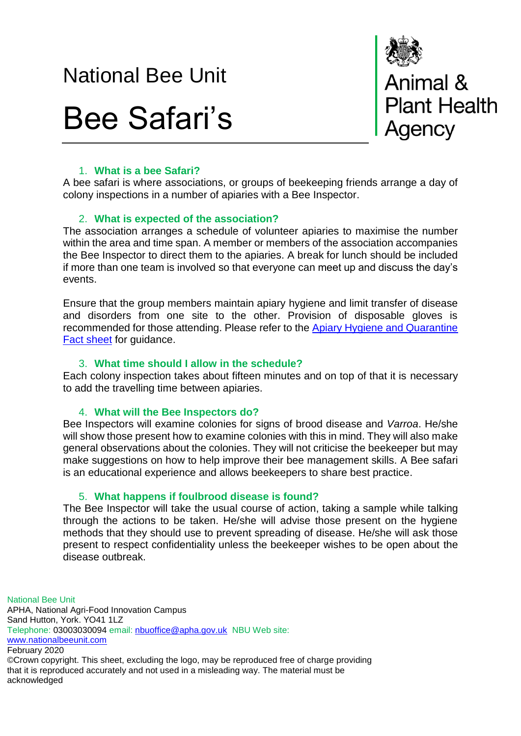# National Bee Unit

# Bee Safari's



**Animal &<br>Plant Health** Agency

## 1. **What is a bee Safari?**

A bee safari is where associations, or groups of beekeeping friends arrange a day of colony inspections in a number of apiaries with a Bee Inspector.

## 2. **What is expected of the association?**

The association arranges a schedule of volunteer apiaries to maximise the number within the area and time span. A member or members of the association accompanies the Bee Inspector to direct them to the apiaries. A break for lunch should be included if more than one team is involved so that everyone can meet up and discuss the day's events.

Ensure that the group members maintain apiary hygiene and limit transfer of disease and disorders from one site to the other. Provision of disposable gloves is recommended for those attending. Please refer to the [Apiary Hygiene and Quarantine](http://www.nationalbeeunit.com/downloadDocument.cfm?id=1058)  [Fact sheet](http://www.nationalbeeunit.com/downloadDocument.cfm?id=1058) for guidance.

#### 3. **What time should I allow in the schedule?**

Each colony inspection takes about fifteen minutes and on top of that it is necessary to add the travelling time between apiaries.

#### 4. **What will the Bee Inspectors do?**

Bee Inspectors will examine colonies for signs of brood disease and *Varroa*. He/she will show those present how to examine colonies with this in mind. They will also make general observations about the colonies. They will not criticise the beekeeper but may make suggestions on how to help improve their bee management skills. A Bee safari is an educational experience and allows beekeepers to share best practice.

#### 5. **What happens if foulbrood disease is found?**

The Bee Inspector will take the usual course of action, taking a sample while talking through the actions to be taken. He/she will advise those present on the hygiene methods that they should use to prevent spreading of disease. He/she will ask those present to respect confidentiality unless the beekeeper wishes to be open about the disease outbreak.

National Bee Unit APHA, National Agri-Food Innovation Campus Sand Hutton, York. YO41 1LZ Telephone: 03003030094 email: [nbuoffice@apha.gov.uk](mailto:nbuoffice@apha.gov.uk) NBU Web site: [www.nationalbeeunit.com](http://www.nationalbeeunit.com/) February 2020 ©Crown copyright. This sheet, excluding the logo, may be reproduced free of charge providing

that it is reproduced accurately and not used in a misleading way. The material must be acknowledged